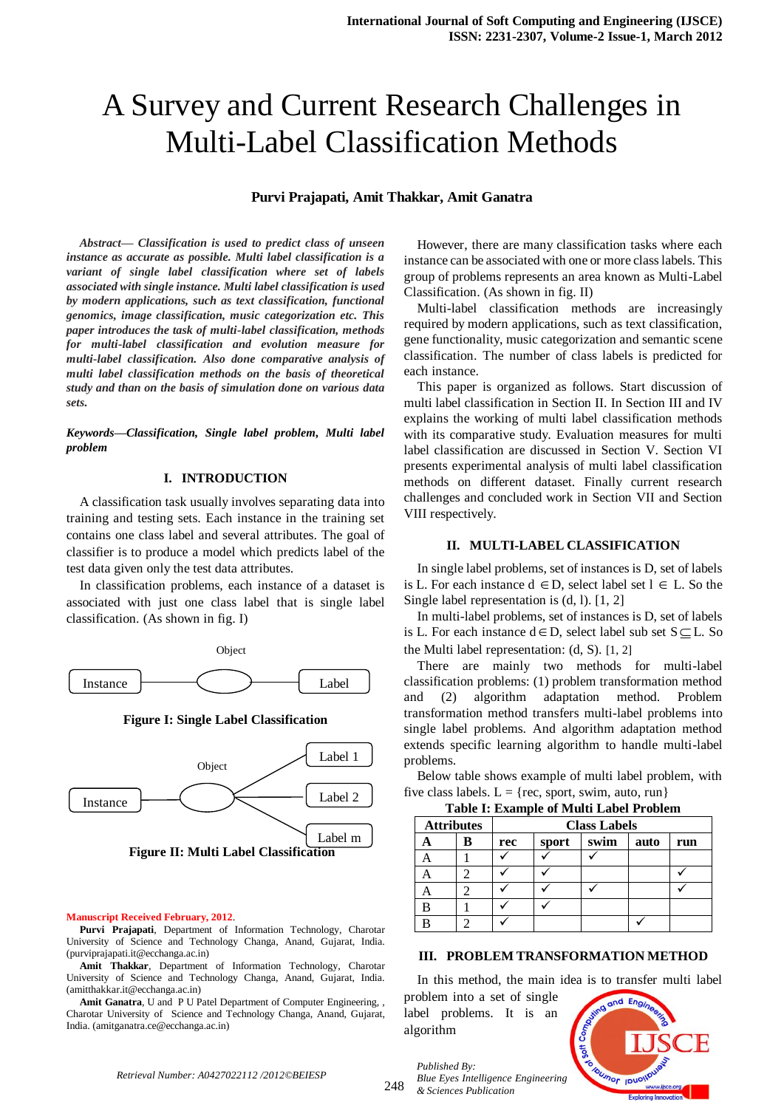# A Survey and Current Research Challenges in Multi-Label Classification Methods

## **Purvi Prajapati, Amit Thakkar, Amit Ganatra**

*Abstract— Classification is used to predict class of unseen instance as accurate as possible. Multi label classification is a variant of single label classification where set of labels associated with single instance. Multi label classification is used by modern applications, such as text classification, functional genomics, image classification, music categorization etc. This paper introduces the task of multi-label classification, methods for multi-label classification and evolution measure for multi-label classification. Also done comparative analysis of multi label classification methods on the basis of theoretical study and than on the basis of simulation done on various data sets.*

*Keywords—Classification, Single label problem, Multi label problem*

## **I. INTRODUCTION**

A classification task usually involves separating data into training and testing sets. Each instance in the training set contains one class label and several attributes. The goal of classifier is to produce a model which predicts label of the test data given only the test data attributes.

In classification problems, each instance of a dataset is associated with just one class label that is single label classification. (As shown in fig. I)



**Figure I: Single Label Classification**



#### **Manuscript Received February, 2012**.

**Purvi Prajapati**, Department of Information Technology, Charotar University of Science and Technology Changa, Anand, Gujarat, India. (purviprajapati.it@ecchanga.ac.in)

**Amit Thakkar**, Department of Information Technology, Charotar University of Science and Technology Changa, Anand, Gujarat, India. (amitthakkar.it@ecchanga.ac.in)

**Amit Ganatra**, U and P U Patel Department of Computer Engineering, , Charotar University of Science and Technology Changa, Anand, Gujarat, India. (amitganatra.ce@ecchanga.ac.in)

However, there are many classification tasks where each instance can be associated with one or more class labels. This group of problems represents an area known as Multi-Label Classification. (As shown in fig. II)

Multi-label classification methods are increasingly required by modern applications, such as text classification, gene functionality, music categorization and semantic scene classification. The number of class labels is predicted for each instance.

This paper is organized as follows. Start discussion of multi label classification in Section II. In Section III and IV explains the working of multi label classification methods with its comparative study. Evaluation measures for multi label classification are discussed in Section V. Section VI presents experimental analysis of multi label classification methods on different dataset. Finally current research challenges and concluded work in Section VII and Section VIII respectively.

## **II. MULTI-LABEL CLASSIFICATION**

In single label problems, set of instances is D, set of labels is L. For each instance  $d \in D$ , select label set  $l \in L$ . So the Single label representation is (d, l). [1, 2]

In multi-label problems, set of instances is D, set of labels is L. For each instance  $d \in D$ , select label sub set  $S \subseteq L$ . So the Multi label representation: (d, S). [1, 2]

There are mainly two methods for multi-label classification problems: (1) problem transformation method and (2) algorithm adaptation method. Problem transformation method transfers multi-label problems into single label problems. And algorithm adaptation method extends specific learning algorithm to handle multi-label problems.

Below table shows example of multi label problem, with five class labels.  $L = \{ \text{rec}, \text{ sport}, \text{ swim}, \text{ auto}, \text{ run} \}$ 

|                   | <b>Table I: Example of Multi Label Problem</b> |     |       |                     |      |     |  |
|-------------------|------------------------------------------------|-----|-------|---------------------|------|-----|--|
| <b>Attributes</b> |                                                |     |       | <b>Class Labels</b> |      |     |  |
|                   | в                                              | rec | sport | swim                | auto | run |  |
|                   |                                                |     |       |                     |      |     |  |
|                   |                                                |     |       |                     |      |     |  |
|                   |                                                |     |       |                     |      |     |  |
| B                 |                                                |     |       |                     |      |     |  |
|                   |                                                |     |       |                     |      |     |  |

#### **III. PROBLEM TRANSFORMATION METHOD**

In this method, the main idea is to transfer multi label

problem into a set of single label problems. It is an algorithm

*Published By:*

*& Sciences Publication* 

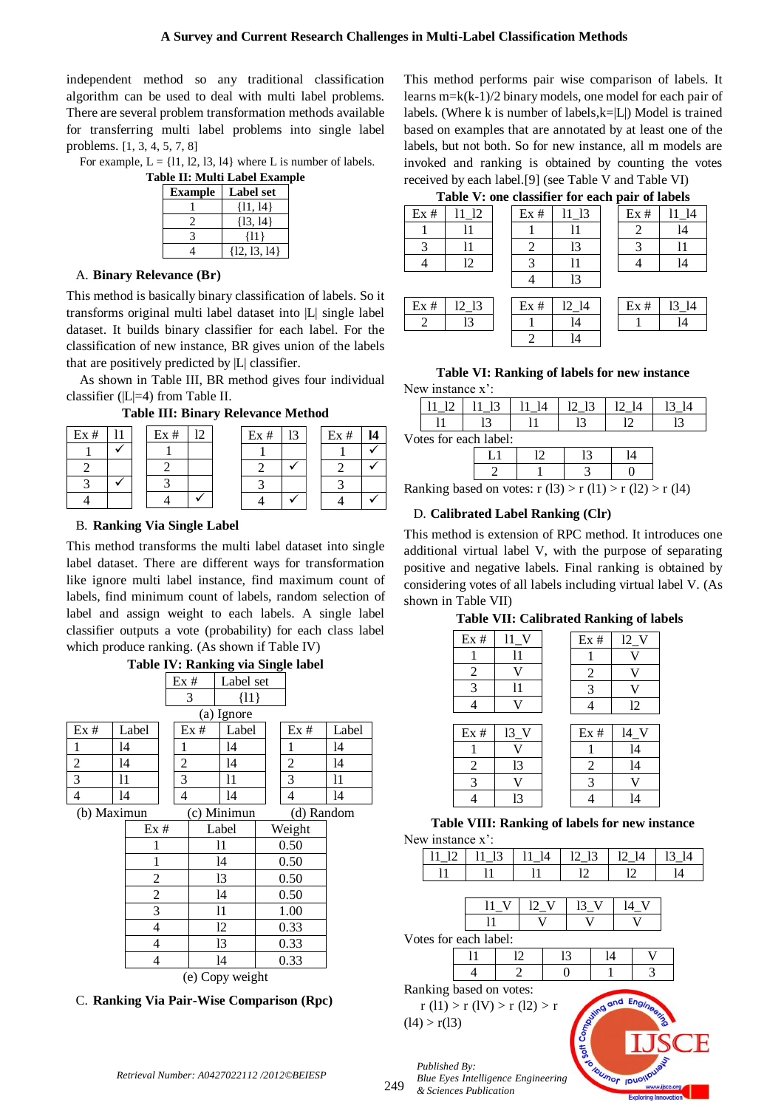independent method so any traditional classification algorithm can be used to deal with multi label problems. There are several problem transformation methods available for transferring multi label problems into single label problems. [1, 3, 4, 5, 7, 8]

For example,  $L = \{11, 12, 13, 14\}$  where L is number of labels.

| Table II: Multi Label Example |                  |  |  |  |  |
|-------------------------------|------------------|--|--|--|--|
| <b>Example</b>                | Label set        |  |  |  |  |
|                               | $\{11, 14\}$     |  |  |  |  |
|                               | $\{13, 14\}$     |  |  |  |  |
|                               | {11}             |  |  |  |  |
|                               | $\{12, 13, 14\}$ |  |  |  |  |

#### A. **Binary Relevance (Br)**

This method is basically binary classification of labels. So it transforms original multi label dataset into |L| single label dataset. It builds binary classifier for each label. For the classification of new instance, BR gives union of the labels that are positively predicted by |L| classifier.

As shown in Table III, BR method gives four individual classifier (|L|=4) from Table II.

**Table III: Binary Relevance Method**

| Ex# |  | Ex# | רו | Ex# | 13 | Ex# |  |
|-----|--|-----|----|-----|----|-----|--|
|     |  |     |    |     |    |     |  |
|     |  |     |    |     |    |     |  |
|     |  |     |    |     |    |     |  |
|     |  |     |    |     |    |     |  |

#### B. **Ranking Via Single Label**

This method transforms the multi label dataset into single label dataset. There are different ways for transformation like ignore multi label instance, find maximum count of labels, find minimum count of labels, random selection of label and assign weight to each labels. A single label classifier outputs a vote (probability) for each class label which produce ranking. (As shown if Table IV)



C. **Ranking Via Pair-Wise Comparison (Rpc)**

This method performs pair wise comparison of labels. It learns m=k(k-1)/2 binary models, one model for each pair of labels. (Where k is number of labels, $k=|L|$ ) Model is trained based on examples that are annotated by at least one of the labels, but not both. So for new instance, all m models are invoked and ranking is obtained by counting the votes received by each label.[9] (see Table V and Table VI)

**Table V: one classifier for each pair of labels**

|     | Tuble v . one enabliser for each pair of noted |  |     |                    |  |     |          |
|-----|------------------------------------------------|--|-----|--------------------|--|-----|----------|
| Ex# | 11 12                                          |  | Ex# | 11 13              |  | Ex# | - 14     |
|     |                                                |  |     | 11                 |  |     | 14       |
|     | 11                                             |  |     | 13                 |  |     | 11       |
|     | 12                                             |  |     |                    |  |     | 14       |
|     |                                                |  |     | 13                 |  |     |          |
| Ex# | $12$ $13$                                      |  | Ex# | $12$ <sup>14</sup> |  | Ex# | $13\_14$ |
|     |                                                |  |     |                    |  |     |          |

**Table VI: Ranking of labels for new instance** New instance x':

2 l4

|                       | ຳ |  |     |  |  |  |  |
|-----------------------|---|--|-----|--|--|--|--|
| Votes for each label: |   |  |     |  |  |  |  |
|                       |   |  | ר ו |  |  |  |  |

|  | $\sim$ | $\sim$ | $\sim$ |  |
|--|--------|--------|--------|--|

Ranking based on votes:  $r(13) > r(11) > r(12) > r(14)$ 

## D. **Calibrated Label Ranking (Clr)**

This method is extension of RPC method. It introduces one additional virtual label V, with the purpose of separating positive and negative labels. Final ranking is obtained by considering votes of all labels including virtual label V. (As shown in Table VII)

## **Table VII: Calibrated Ranking of labels**

| Ex#            | $11_V$ | Ex#            | $12$ _V |
|----------------|--------|----------------|---------|
|                | 11     |                |         |
| $\overline{c}$ | V      | $\overline{c}$ | V       |
| $\overline{3}$ | 11     | 3              | V)      |
|                | v      |                | 12      |
|                |        |                |         |
| Ex#            | 13V    | Ex#            | $14$ V  |
| 1              | V      |                | 14      |
| $\overline{2}$ | 13     | $\overline{2}$ | 14      |
| $\overline{3}$ | V      | 3              | V       |
|                | 13     |                | 14      |

**Table VIII: Ranking of labels for new instance** New instance x':



*Blue Eyes Intelligence Engineering & Sciences Publication* 

249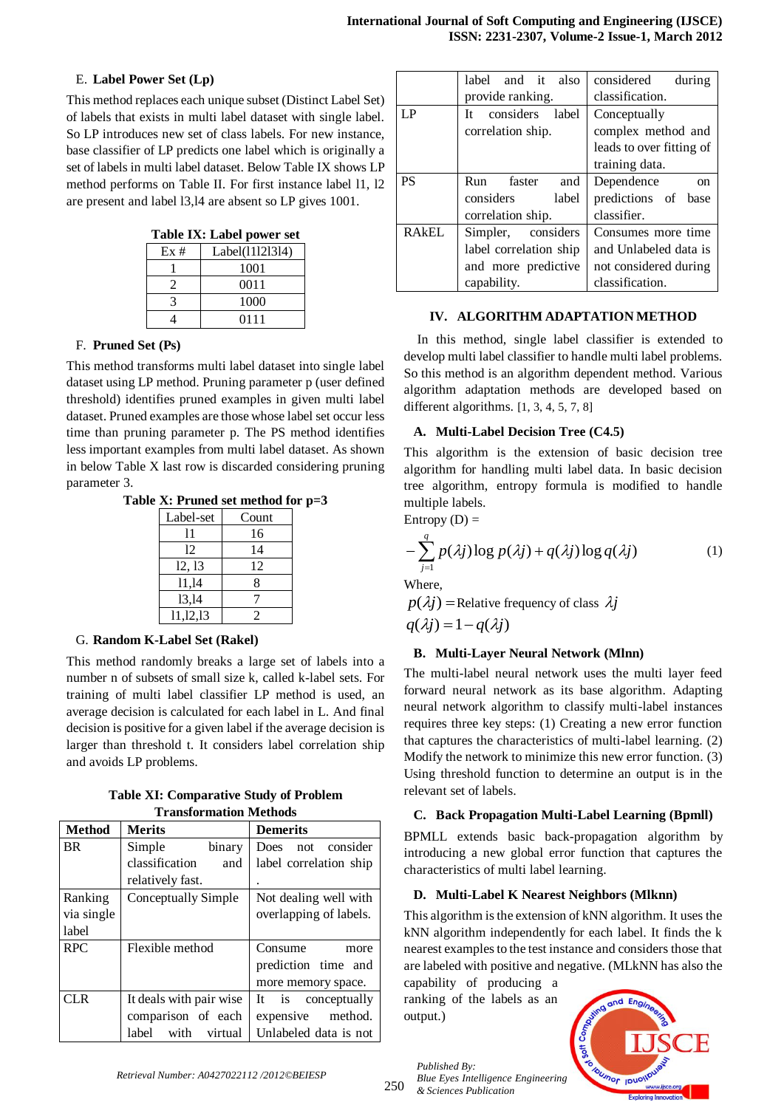## E. **Label Power Set (Lp)**

This method replaces each unique subset (Distinct Label Set) of labels that exists in multi label dataset with single label. So LP introduces new set of class labels. For new instance, base classifier of LP predicts one label which is originally a set of labels in multi label dataset. Below Table IX shows LP method performs on Table II. For first instance label l1, l2 are present and label l3,l4 are absent so LP gives 1001.

| Table IX: Label power set |  |  |  |  |
|---------------------------|--|--|--|--|
|---------------------------|--|--|--|--|

| Ex# | Label(11121314) |
|-----|-----------------|
|     | 1001            |
|     | 0011            |
|     | 1000            |
|     | 0111            |

# F. **Pruned Set (Ps)**

This method transforms multi label dataset into single label dataset using LP method. Pruning parameter p (user defined threshold) identifies pruned examples in given multi label dataset. Pruned examples are those whose label set occur less time than pruning parameter p. The PS method identifies less important examples from multi label dataset. As shown in below Table X last row is discarded considering pruning parameter 3.

|  |  | Table X: Pruned set method for $p=3$ |  |
|--|--|--------------------------------------|--|
|  |  |                                      |  |

| Label-set | Count |
|-----------|-------|
| 11        | 16    |
| 12        | 14    |
| 12, 13    | 12    |
| 11,14     | 8     |
| 13,14     |       |
| 11,12,13  | 7     |

# G. **Random K-Label Set (Rakel)**

This method randomly breaks a large set of labels into a number n of subsets of small size k, called k-label sets. For training of multi label classifier LP method is used, an average decision is calculated for each label in L. And final decision is positive for a given label if the average decision is larger than threshold t. It considers label correlation ship and avoids LP problems.

**Table XI: Comparative Study of Problem Transformation Methods**

| <b>Method</b> | <b>Merits</b>            | <b>Demerits</b>        |
|---------------|--------------------------|------------------------|
| <b>BR</b>     | Simple<br>binary         | Does not consider      |
|               | classification<br>and    | label correlation ship |
|               | relatively fast.         |                        |
| Ranking       | Conceptually Simple      | Not dealing well with  |
| via single    |                          | overlapping of labels. |
| label         |                          |                        |
| <b>RPC</b>    | Flexible method          | Consume<br>more        |
|               |                          | prediction time and    |
|               |                          | more memory space.     |
| CLR.          | It deals with pair wise  | It is conceptually     |
|               | comparison of each       | expensive method.      |
|               | label<br>with<br>virtual | Unlabeled data is not  |

|              | label and it also         | considered<br>during        |  |
|--------------|---------------------------|-----------------------------|--|
|              | provide ranking.          | classification.             |  |
| LP           | considers<br>label<br>Tt. | Conceptually                |  |
|              | correlation ship.         | complex method and          |  |
|              |                           | leads to over fitting of    |  |
|              |                           | training data.              |  |
| <b>PS</b>    | faster<br>Run<br>and      | Dependence<br><sub>on</sub> |  |
|              | considers<br>label        | predictions of base         |  |
|              | correlation ship.         | classifier.                 |  |
| <b>RAKEL</b> | Simpler, considers        | Consumes more time          |  |
|              | label correlation ship    | and Unlabeled data is       |  |
|              | and more predictive       | not considered during       |  |
|              | capability.               | classification.             |  |

## **IV. ALGORITHM ADAPTATION METHOD**

In this method, single label classifier is extended to develop multi label classifier to handle multi label problems. So this method is an algorithm dependent method. Various algorithm adaptation methods are developed based on different algorithms. [1, 3, 4, 5, 7, 8]

## **A. Multi-Label Decision Tree (C4.5)**

This algorithm is the extension of basic decision tree algorithm for handling multi label data. In basic decision tree algorithm, entropy formula is modified to handle multiple labels.

Entropy  $(D)$  =

$$
-\sum_{j=1}^{q} p(\lambda j) \log p(\lambda j) + q(\lambda j) \log q(\lambda j) \tag{1}
$$

Where,

 $p(\lambda j)$  = Relative frequency of class  $\lambda j$  $q(\lambda i) = 1 - q(\lambda i)$ 

# **B. Multi-Layer Neural Network (Mlnn)**

The multi-label neural network uses the multi layer feed forward neural network as its base algorithm. Adapting neural network algorithm to classify multi-label instances requires three key steps: (1) Creating a new error function that captures the characteristics of multi-label learning. (2) Modify the network to minimize this new error function. (3) Using threshold function to determine an output is in the relevant set of labels.

# **C. Back Propagation Multi-Label Learning (Bpmll)**

BPMLL extends basic back-propagation algorithm by introducing a new global error function that captures the characteristics of multi label learning.

# **D. Multi-Label K Nearest Neighbors (Mlknn)**

This algorithm is the extension of kNN algorithm. It uses the kNN algorithm independently for each label. It finds the k nearest examples to the test instance and considers those that are labeled with positive and negative. (MLkNN has also the

capability of producing a ranking of the labels as an output.)

*Published By:*

*& Sciences Publication* 

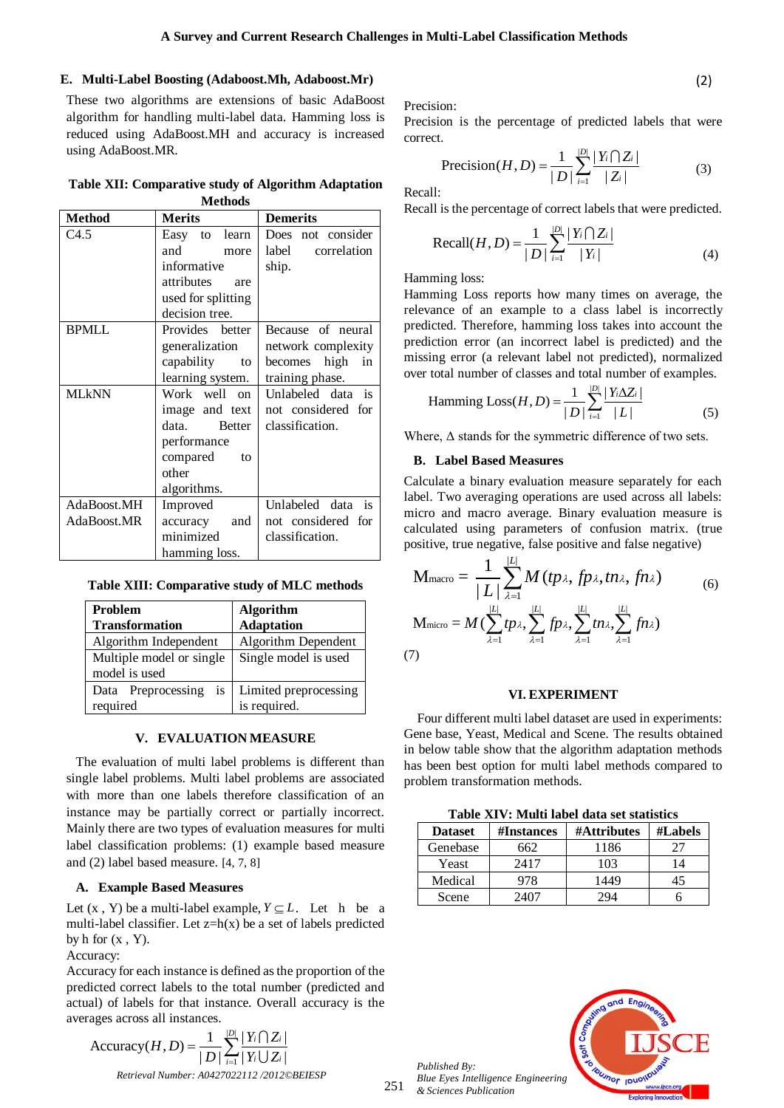## **E. Multi-Label Boosting (Adaboost.Mh, Adaboost.Mr)**

These two algorithms are extensions of basic AdaBoost algorithm for handling multi-label data. Hamming loss is reduced using AdaBoost.MH and accuracy is increased using AdaBoost.MR.

**Table XII: Comparative study of Algorithm Adaptation Methods**

| <b>Method</b> | <b>Merits</b>      | <b>Demerits</b>      |  |  |
|---------------|--------------------|----------------------|--|--|
| C4.5          | Easy to learn      | Does not consider    |  |  |
|               | and<br>more        | label<br>correlation |  |  |
|               | informative        | ship.                |  |  |
|               | attributes<br>are  |                      |  |  |
|               | used for splitting |                      |  |  |
|               | decision tree.     |                      |  |  |
| <b>BPMLL</b>  | Provides better    | Because of neural    |  |  |
|               | generalization     | network complexity   |  |  |
|               | capability to      | becomes high<br>in   |  |  |
|               | learning system.   | training phase.      |  |  |
| MLkNN         | Work well on       | Unlabeled data is    |  |  |
|               | image and text     | not considered for   |  |  |
|               | data. Better       | classification.      |  |  |
|               | performance        |                      |  |  |
|               | compared<br>to     |                      |  |  |
|               | other              |                      |  |  |
|               | algorithms.        |                      |  |  |
| AdaBoost.MH   | Improved           | Unlabeled data is    |  |  |
| AdaBoost.MR   | accuracy<br>and    | not considered for   |  |  |
|               | minimized          | classification.      |  |  |
|               | hamming loss.      |                      |  |  |

**Table XIII: Comparative study of MLC methods**

| <b>Problem</b>              | <b>Algorithm</b>      |  |  |
|-----------------------------|-----------------------|--|--|
| <b>Transformation</b>       | <b>Adaptation</b>     |  |  |
| Algorithm Independent       | Algorithm Dependent   |  |  |
| Multiple model or single    | Single model is used  |  |  |
| model is used               |                       |  |  |
| Preprocessing<br>is<br>Data | Limited preprocessing |  |  |
| required                    | is required.          |  |  |

## **V. EVALUATION MEASURE**

The evaluation of multi label problems is different than single label problems. Multi label problems are associated with more than one labels therefore classification of an instance may be partially correct or partially incorrect. Mainly there are two types of evaluation measures for multi label classification problems: (1) example based measure and (2) label based measure. [4, 7, 8]

## **A. Example Based Measures**

Let  $(x, Y)$  be a multi-label example,  $Y \subseteq L$ . Let h be a multi-label classifier. Let  $z=h(x)$  be a set of labels predicted by  $h$  for  $(x, Y)$ .

Accuracy:

Accuracy for each instance is defined as the proportion of the predicted correct labels to the total number (predicted and actual) of labels for that instance. Overall accuracy is the averages across all instances.

*Retrieval Number: A0427022112 /2012©BEIESP*  $|D|$ ages across all instances.<br>
Accuracy $(H, D) = \frac{1}{|D|} \sum_{i=1}^{|D|} \frac{|Y_i \bigcap Z_i|}{|Y_i \bigcup Z_i|}$  $\frac{1}{|D|}\sum_{i=1}^{|D|}\frac{|Y_i \bigcap Z_i|}{|Y_i \bigcup Z_i|}$ all instances.<br>  $H, D$  =  $\frac{1}{|D|} \sum_{i=1}^{|D|} \frac{|Y_i \bigcap Z_i}{|Y_i \bigcup Z_i}$  $=\frac{1}{|D|}\sum_{i=1}^{|D|} \frac{|Y_i \bigcap Z_i}{|Y_i \bigcup Z_i}$ U

Precision:

Precision is the percentage of predicted labels that were correct.

$$
\text{Precision}(H, D) = \frac{1}{|D|} \sum_{i=1}^{|D|} \frac{|Y_i \bigcap Z_i|}{|Z_i|} \tag{3}
$$

(2)

Recall:

Recall is the percentage of correct labels that were predicted.

Recall(*H*, *D*) = 
$$
\frac{1}{|D|} \sum_{i=1}^{|D|} \frac{|Y_i \cap Z_i|}{|Y_i|}
$$
(4)

Hamming loss:

Hamming Loss reports how many times on average, the relevance of an example to a class label is incorrectly predicted. Therefore, hamming loss takes into account the prediction error (an incorrect label is predicted) and the missing error (a relevant label not predicted), normalized

over total number of classes and total number of examples.  
Hamming 
$$
Loss(H, D) = \frac{1}{|D|} \sum_{i=1}^{|D|} \frac{|Y_i \Delta Z_i|}{|L|}
$$
 (5)

Where,  $\Delta$  stands for the symmetric difference of two sets.

## **B. Label Based Measures**

Calculate a binary evaluation measure separately for each label. Two averaging operations are used across all labels: micro and macro average. Binary evaluation measure is calculated using parameters of confusion matrix. (true positive, true negative, false positive and false negative)<br> $1 \frac{|L|}{L}$ 

$$
M_{\text{macro}} = \frac{1}{|L|} \sum_{\lambda=1}^{|L|} M(tp_{\lambda}, fp_{\lambda}, fn_{\lambda})
$$
  
\n
$$
M_{\text{micro}} = M(\sum_{\lambda=1}^{|L|} tp_{\lambda}, \sum_{\lambda=1}^{|L|} fp_{\lambda}, \sum_{\lambda=1}^{|L|} tn_{\lambda}, \sum_{\lambda=1}^{|L|} fn_{\lambda})
$$
  
\n(7)

## **VI. EXPERIMENT**

Four different multi label dataset are used in experiments: Gene base, Yeast, Medical and Scene. The results obtained in below table show that the algorithm adaptation methods has been best option for multi label methods compared to problem transformation methods.

**Table XIV: Multi label data set statistics**

| <b>Dataset</b> | <b>#Instances</b> | #Attributes | #Labels |
|----------------|-------------------|-------------|---------|
| Genebase       | 562               | 1186        |         |
| Yeast          | 2417              | 103         | l 4     |
| Medical        | 978               | 1449        |         |
| Scene          |                   |             |         |



*Published By: Blue Eyes Intelligence Engineering & Sciences Publication*